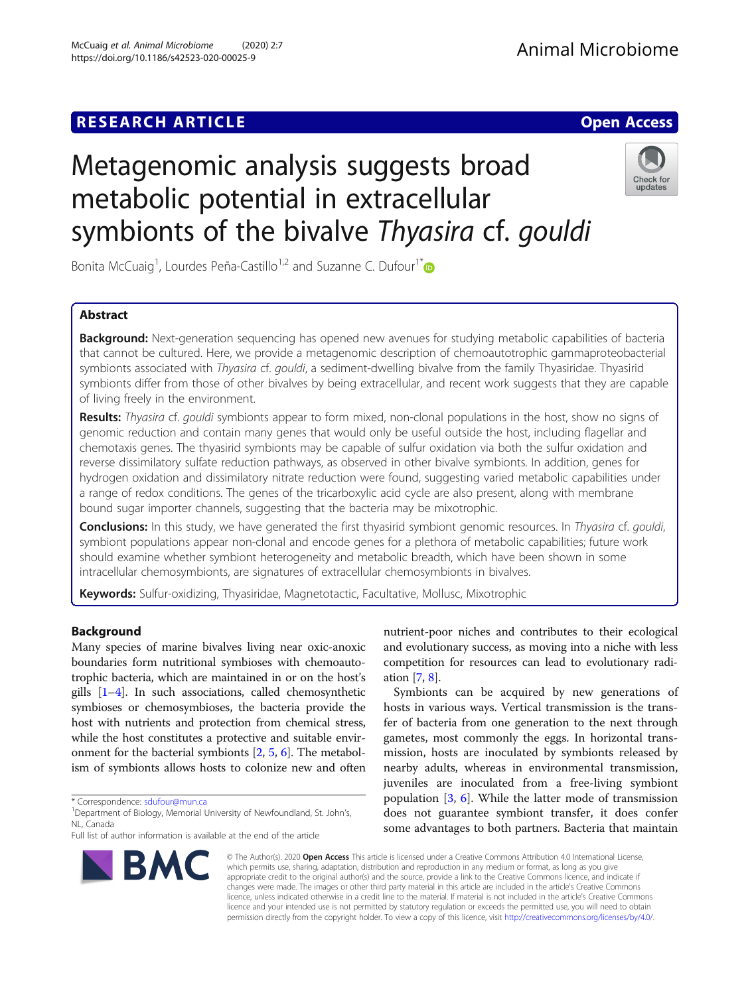# **RESEARCH ARTICLE Example 2018 12:00 Deep Access**

# Metagenomic analysis suggests broad metabolic potential in extracellular symbionts of the bivalve Thyasira cf. gouldi

Bonita McCuaig<sup>1</sup>, Lourdes Peña-Castillo<sup>1,2</sup> and Suzanne C. Dufour<sup>1[\\*](http://orcid.org/0000-0001-9179-1319)</sup>

# Abstract

**Background:** Next-generation sequencing has opened new avenues for studying metabolic capabilities of bacteria that cannot be cultured. Here, we provide a metagenomic description of chemoautotrophic gammaproteobacterial symbionts associated with Thyasira cf. gouldi, a sediment-dwelling bivalve from the family Thyasiridae. Thyasirid symbionts differ from those of other bivalves by being extracellular, and recent work suggests that they are capable of living freely in the environment.

Results: Thyasira cf. gouldi symbionts appear to form mixed, non-clonal populations in the host, show no signs of genomic reduction and contain many genes that would only be useful outside the host, including flagellar and chemotaxis genes. The thyasirid symbionts may be capable of sulfur oxidation via both the sulfur oxidation and reverse dissimilatory sulfate reduction pathways, as observed in other bivalve symbionts. In addition, genes for hydrogen oxidation and dissimilatory nitrate reduction were found, suggesting varied metabolic capabilities under a range of redox conditions. The genes of the tricarboxylic acid cycle are also present, along with membrane bound sugar importer channels, suggesting that the bacteria may be mixotrophic.

Conclusions: In this study, we have generated the first thyasirid symbiont genomic resources. In Thyasira cf. gouldi, symbiont populations appear non-clonal and encode genes for a plethora of metabolic capabilities; future work should examine whether symbiont heterogeneity and metabolic breadth, which have been shown in some intracellular chemosymbionts, are signatures of extracellular chemosymbionts in bivalves.

Keywords: Sulfur-oxidizing, Thyasiridae, Magnetotactic, Facultative, Mollusc, Mixotrophic

# Background

Many species of marine bivalves living near oxic-anoxic boundaries form nutritional symbioses with chemoautotrophic bacteria, which are maintained in or on the host's gills  $[1-4]$  $[1-4]$  $[1-4]$  $[1-4]$  $[1-4]$ . In such associations, called chemosynthetic symbioses or chemosymbioses, the bacteria provide the host with nutrients and protection from chemical stress, while the host constitutes a protective and suitable environment for the bacterial symbionts [[2](#page-8-0), [5](#page-8-0), [6\]](#page-8-0). The metabolism of symbionts allows hosts to colonize new and often

\* Correspondence: [sdufour@mun.ca](mailto:sdufour@mun.ca) <sup>1</sup>

Full list of author information is available at the end of the article

nutrient-poor niches and contributes to their ecological and evolutionary success, as moving into a niche with less competition for resources can lead to evolutionary radiation [[7](#page-8-0), [8\]](#page-8-0).

Symbionts can be acquired by new generations of hosts in various ways. Vertical transmission is the transfer of bacteria from one generation to the next through gametes, most commonly the eggs. In horizontal transmission, hosts are inoculated by symbionts released by nearby adults, whereas in environmental transmission, juveniles are inoculated from a free-living symbiont population  $\left[3, 6\right]$  $\left[3, 6\right]$  $\left[3, 6\right]$ . While the latter mode of transmission does not guarantee symbiont transfer, it does confer some advantages to both partners. Bacteria that maintain

© The Author(s). 2020 Open Access This article is licensed under a Creative Commons Attribution 4.0 International License, which permits use, sharing, adaptation, distribution and reproduction in any medium or format, as long as you give appropriate credit to the original author(s) and the source, provide a link to the Creative Commons licence, and indicate if changes were made. The images or other third party material in this article are included in the article's Creative Commons licence, unless indicated otherwise in a credit line to the material. If material is not included in the article's Creative Commons licence and your intended use is not permitted by statutory regulation or exceeds the permitted use, you will need to obtain permission directly from the copyright holder. To view a copy of this licence, visit [http://creativecommons.org/licenses/by/4.0/.](http://creativecommons.org/licenses/by/4.0/)





<sup>&</sup>lt;sup>1</sup> Department of Biology, Memorial University of Newfoundland, St. John's, NL, Canada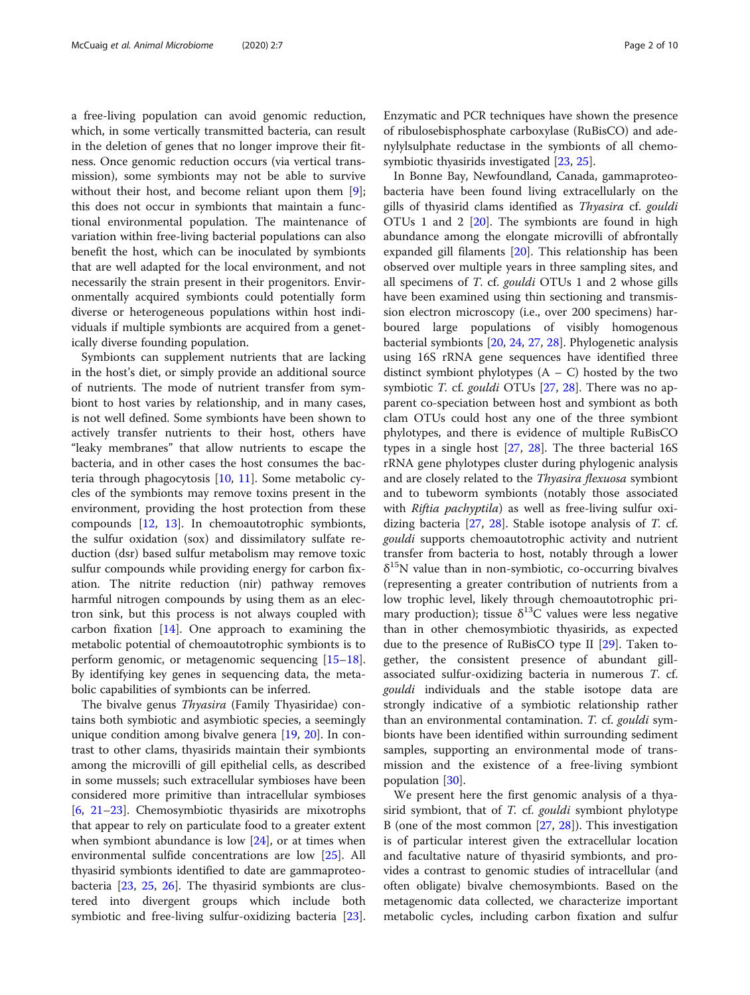a free-living population can avoid genomic reduction, which, in some vertically transmitted bacteria, can result in the deletion of genes that no longer improve their fitness. Once genomic reduction occurs (via vertical transmission), some symbionts may not be able to survive without their host, and become reliant upon them [\[9](#page-8-0)]; this does not occur in symbionts that maintain a functional environmental population. The maintenance of variation within free-living bacterial populations can also benefit the host, which can be inoculated by symbionts that are well adapted for the local environment, and not necessarily the strain present in their progenitors. Environmentally acquired symbionts could potentially form diverse or heterogeneous populations within host individuals if multiple symbionts are acquired from a genetically diverse founding population.

Symbionts can supplement nutrients that are lacking in the host's diet, or simply provide an additional source of nutrients. The mode of nutrient transfer from symbiont to host varies by relationship, and in many cases, is not well defined. Some symbionts have been shown to actively transfer nutrients to their host, others have "leaky membranes" that allow nutrients to escape the bacteria, and in other cases the host consumes the bacteria through phagocytosis [[10,](#page-8-0) [11](#page-8-0)]. Some metabolic cycles of the symbionts may remove toxins present in the environment, providing the host protection from these compounds [\[12](#page-8-0), [13\]](#page-8-0). In chemoautotrophic symbionts, the sulfur oxidation (sox) and dissimilatory sulfate reduction (dsr) based sulfur metabolism may remove toxic sulfur compounds while providing energy for carbon fixation. The nitrite reduction (nir) pathway removes harmful nitrogen compounds by using them as an electron sink, but this process is not always coupled with carbon fixation  $[14]$  $[14]$  $[14]$ . One approach to examining the metabolic potential of chemoautotrophic symbionts is to perform genomic, or metagenomic sequencing [[15](#page-8-0)–[18](#page-8-0)]. By identifying key genes in sequencing data, the metabolic capabilities of symbionts can be inferred.

The bivalve genus Thyasira (Family Thyasiridae) contains both symbiotic and asymbiotic species, a seemingly unique condition among bivalve genera [\[19](#page-8-0), [20](#page-8-0)]. In contrast to other clams, thyasirids maintain their symbionts among the microvilli of gill epithelial cells, as described in some mussels; such extracellular symbioses have been considered more primitive than intracellular symbioses [[6,](#page-8-0)  $21-23$  $21-23$ ]. Chemosymbiotic thyasirids are mixotrophs that appear to rely on particulate food to a greater extent when symbiont abundance is low  $[24]$  $[24]$ , or at times when environmental sulfide concentrations are low [\[25](#page-8-0)]. All thyasirid symbionts identified to date are gammaproteobacteria [\[23](#page-8-0), [25](#page-8-0), [26\]](#page-8-0). The thyasirid symbionts are clustered into divergent groups which include both symbiotic and free-living sulfur-oxidizing bacteria [\[23](#page-8-0)]. Enzymatic and PCR techniques have shown the presence of ribulosebisphosphate carboxylase (RuBisCO) and adenylylsulphate reductase in the symbionts of all chemosymbiotic thyasirids investigated [\[23,](#page-8-0) [25\]](#page-8-0).

In Bonne Bay, Newfoundland, Canada, gammaproteobacteria have been found living extracellularly on the gills of thyasirid clams identified as Thyasira cf. gouldi OTUs 1 and 2 [\[20\]](#page-8-0). The symbionts are found in high abundance among the elongate microvilli of abfrontally expanded gill filaments [\[20](#page-8-0)]. This relationship has been observed over multiple years in three sampling sites, and all specimens of T. cf. gouldi OTUs 1 and 2 whose gills have been examined using thin sectioning and transmission electron microscopy (i.e., over 200 specimens) harboured large populations of visibly homogenous bacterial symbionts [[20,](#page-8-0) [24,](#page-8-0) [27](#page-8-0), [28](#page-8-0)]. Phylogenetic analysis using 16S rRNA gene sequences have identified three distinct symbiont phylotypes  $(A - C)$  hosted by the two symbiotic T. cf. gouldi OTUs [[27,](#page-8-0) [28\]](#page-8-0). There was no apparent co-speciation between host and symbiont as both clam OTUs could host any one of the three symbiont phylotypes, and there is evidence of multiple RuBisCO types in a single host [\[27](#page-8-0), [28](#page-8-0)]. The three bacterial 16S rRNA gene phylotypes cluster during phylogenic analysis and are closely related to the Thyasira flexuosa symbiont and to tubeworm symbionts (notably those associated with *Riftia pachyptila*) as well as free-living sulfur oxidizing bacteria [[27,](#page-8-0) [28](#page-8-0)]. Stable isotope analysis of T. cf. gouldi supports chemoautotrophic activity and nutrient transfer from bacteria to host, notably through a lower  $\delta^{15}$ N value than in non-symbiotic, co-occurring bivalves (representing a greater contribution of nutrients from a low trophic level, likely through chemoautotrophic primary production); tissue  $\delta^{13}$ C values were less negative than in other chemosymbiotic thyasirids, as expected due to the presence of RuBisCO type II [[29](#page-8-0)]. Taken together, the consistent presence of abundant gillassociated sulfur-oxidizing bacteria in numerous T. cf. gouldi individuals and the stable isotope data are strongly indicative of a symbiotic relationship rather than an environmental contamination. T. cf. gouldi symbionts have been identified within surrounding sediment samples, supporting an environmental mode of transmission and the existence of a free-living symbiont population [[30\]](#page-8-0).

We present here the first genomic analysis of a thyasirid symbiont, that of *T*. cf. *gouldi* symbiont phylotype B (one of the most common  $[27, 28]$  $[27, 28]$  $[27, 28]$  $[27, 28]$ ). This investigation is of particular interest given the extracellular location and facultative nature of thyasirid symbionts, and provides a contrast to genomic studies of intracellular (and often obligate) bivalve chemosymbionts. Based on the metagenomic data collected, we characterize important metabolic cycles, including carbon fixation and sulfur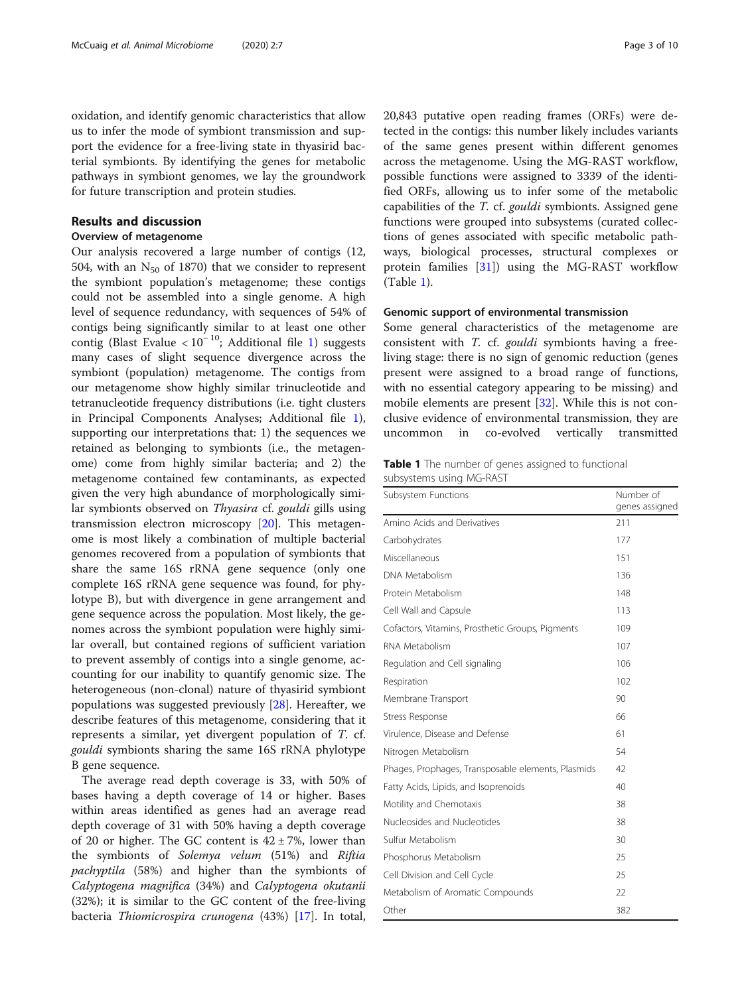<span id="page-2-0"></span>oxidation, and identify genomic characteristics that allow us to infer the mode of symbiont transmission and support the evidence for a free-living state in thyasirid bacterial symbionts. By identifying the genes for metabolic pathways in symbiont genomes, we lay the groundwork for future transcription and protein studies.

# Results and discussion

# Overview of metagenome

Our analysis recovered a large number of contigs (12, 504, with an  $N_{50}$  of 1870) that we consider to represent the symbiont population's metagenome; these contigs could not be assembled into a single genome. A high level of sequence redundancy, with sequences of 54% of contigs being significantly similar to at least one other contig (Blast Evalue <  $10^{-10}$ ; Additional file [1\)](#page-7-0) suggests many cases of slight sequence divergence across the symbiont (population) metagenome. The contigs from our metagenome show highly similar trinucleotide and tetranucleotide frequency distributions (i.e. tight clusters in Principal Components Analyses; Additional file [1](#page-7-0)), supporting our interpretations that: 1) the sequences we retained as belonging to symbionts (i.e., the metagenome) come from highly similar bacteria; and 2) the metagenome contained few contaminants, as expected given the very high abundance of morphologically similar symbionts observed on Thyasira cf. gouldi gills using transmission electron microscopy [\[20\]](#page-8-0). This metagenome is most likely a combination of multiple bacterial genomes recovered from a population of symbionts that share the same 16S rRNA gene sequence (only one complete 16S rRNA gene sequence was found, for phylotype B), but with divergence in gene arrangement and gene sequence across the population. Most likely, the genomes across the symbiont population were highly similar overall, but contained regions of sufficient variation to prevent assembly of contigs into a single genome, accounting for our inability to quantify genomic size. The heterogeneous (non-clonal) nature of thyasirid symbiont populations was suggested previously [[28\]](#page-8-0). Hereafter, we describe features of this metagenome, considering that it represents a similar, yet divergent population of T. cf. gouldi symbionts sharing the same 16S rRNA phylotype B gene sequence.

The average read depth coverage is 33, with 50% of bases having a depth coverage of 14 or higher. Bases within areas identified as genes had an average read depth coverage of 31 with 50% having a depth coverage of 20 or higher. The GC content is  $42 \pm 7$ %, lower than the symbionts of Solemya velum (51%) and Riftia pachyptila (58%) and higher than the symbionts of Calyptogena magnifica (34%) and Calyptogena okutanii (32%); it is similar to the GC content of the free-living bacteria Thiomicrospira crunogena (43%) [\[17\]](#page-8-0). In total, 20,843 putative open reading frames (ORFs) were detected in the contigs: this number likely includes variants of the same genes present within different genomes across the metagenome. Using the MG-RAST workflow, possible functions were assigned to 3339 of the identified ORFs, allowing us to infer some of the metabolic capabilities of the T. cf. gouldi symbionts. Assigned gene functions were grouped into subsystems (curated collections of genes associated with specific metabolic pathways, biological processes, structural complexes or protein families [[31\]](#page-8-0)) using the MG-RAST workflow (Table 1).

# Genomic support of environmental transmission

Some general characteristics of the metagenome are consistent with T. cf. gouldi symbionts having a freeliving stage: there is no sign of genomic reduction (genes present were assigned to a broad range of functions, with no essential category appearing to be missing) and mobile elements are present [\[32](#page-8-0)]. While this is not conclusive evidence of environmental transmission, they are uncommon in co-evolved vertically transmitted

Table 1 The number of genes assigned to functional subsystems using MG-RAST

| Subsystem Functions                                | Number of<br>genes assigned |
|----------------------------------------------------|-----------------------------|
| Amino Acids and Derivatives                        | 211                         |
| Carbohydrates                                      | 177                         |
| Miscellaneous                                      | 151                         |
| DNA Metabolism                                     | 136                         |
| Protein Metabolism                                 | 148                         |
| Cell Wall and Capsule                              | 113                         |
| Cofactors, Vitamins, Prosthetic Groups, Pigments   | 109                         |
| RNA Metabolism                                     | 107                         |
| Regulation and Cell signaling                      | 106                         |
| Respiration                                        | 102                         |
| Membrane Transport                                 | 90                          |
| Stress Response                                    | 66                          |
| Virulence, Disease and Defense                     | 61                          |
| Nitrogen Metabolism                                | 54                          |
| Phages, Prophages, Transposable elements, Plasmids | 42                          |
| Fatty Acids, Lipids, and Isoprenoids               | 40                          |
| Motility and Chemotaxis                            | 38                          |
| Nucleosides and Nucleotides                        | 38                          |
| Sulfur Metabolism                                  | 30                          |
| Phosphorus Metabolism                              | 25                          |
| Cell Division and Cell Cycle                       | 25                          |
| Metabolism of Aromatic Compounds                   | 22                          |
| Other                                              | 382                         |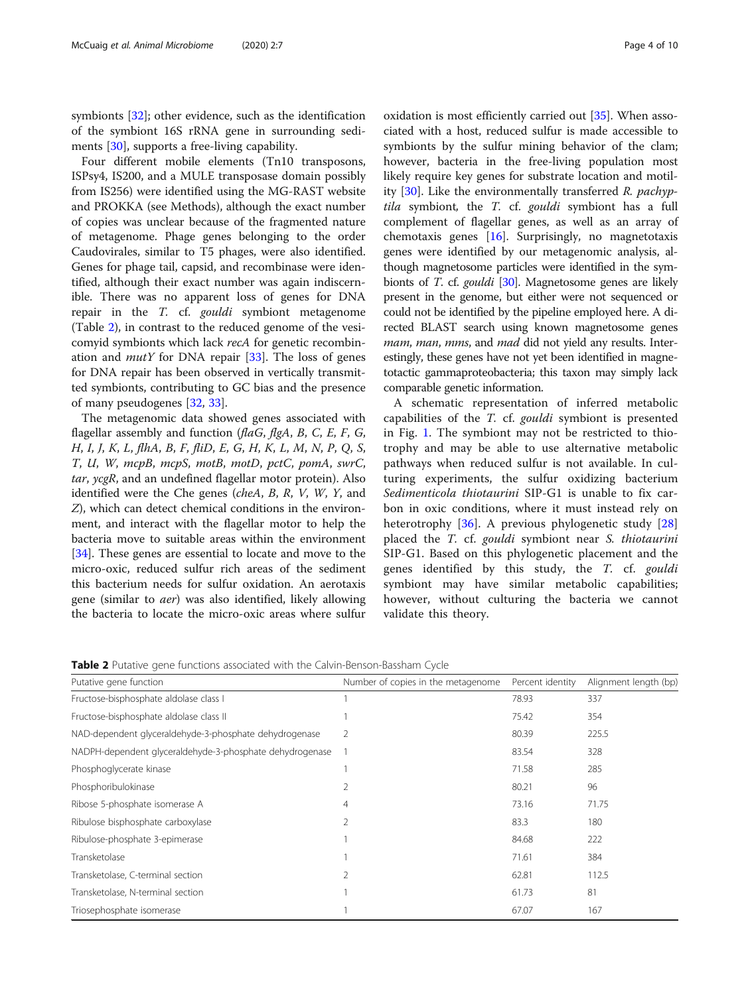<span id="page-3-0"></span>symbionts [\[32](#page-8-0)]; other evidence, such as the identification of the symbiont 16S rRNA gene in surrounding sediments [[30\]](#page-8-0), supports a free-living capability.

Four different mobile elements (Tn10 transposons, ISPsy4, IS200, and a MULE transposase domain possibly from IS256) were identified using the MG-RAST website and PROKKA (see Methods), although the exact number of copies was unclear because of the fragmented nature of metagenome. Phage genes belonging to the order Caudovirales, similar to T5 phages, were also identified. Genes for phage tail, capsid, and recombinase were identified, although their exact number was again indiscernible. There was no apparent loss of genes for DNA repair in the T. cf. gouldi symbiont metagenome (Table 2), in contrast to the reduced genome of the vesicomyid symbionts which lack recA for genetic recombination and *mutY* for DNA repair  $[33]$  $[33]$ . The loss of genes for DNA repair has been observed in vertically transmitted symbionts, contributing to GC bias and the presence of many pseudogenes [[32,](#page-8-0) [33\]](#page-8-0).

The metagenomic data showed genes associated with flagellar assembly and function ( $flaG, flgA, B, C, E, F, G$ , H, I, J, K, L, flhA, B, F, fliD, E, G, H, K, L, M, N, P, Q, S, T, U, W, mcpB, mcpS, motB, motD, pctC, pomA, swrC, tar, ycgR, and an undefined flagellar motor protein). Also identified were the Che genes (cheA, B, R, V, W, Y, and Z), which can detect chemical conditions in the environment, and interact with the flagellar motor to help the bacteria move to suitable areas within the environment [[34\]](#page-8-0). These genes are essential to locate and move to the micro-oxic, reduced sulfur rich areas of the sediment this bacterium needs for sulfur oxidation. An aerotaxis gene (similar to aer) was also identified, likely allowing the bacteria to locate the micro-oxic areas where sulfur oxidation is most efficiently carried out [[35\]](#page-8-0). When associated with a host, reduced sulfur is made accessible to symbionts by the sulfur mining behavior of the clam; however, bacteria in the free-living population most likely require key genes for substrate location and motility  $[30]$  $[30]$ . Like the environmentally transferred R. pachyptila symbiont, the T. cf. gouldi symbiont has a full complement of flagellar genes, as well as an array of chemotaxis genes [\[16\]](#page-8-0). Surprisingly, no magnetotaxis genes were identified by our metagenomic analysis, although magnetosome particles were identified in the symbionts of T. cf. gouldi [\[30\]](#page-8-0). Magnetosome genes are likely present in the genome, but either were not sequenced or could not be identified by the pipeline employed here. A directed BLAST search using known magnetosome genes mam, man, mms, and mad did not yield any results. Interestingly, these genes have not yet been identified in magnetotactic gammaproteobacteria; this taxon may simply lack comparable genetic information.

A schematic representation of inferred metabolic capabilities of the T. cf. gouldi symbiont is presented in Fig. [1.](#page-4-0) The symbiont may not be restricted to thiotrophy and may be able to use alternative metabolic pathways when reduced sulfur is not available. In culturing experiments, the sulfur oxidizing bacterium Sedimenticola thiotaurini SIP-G1 is unable to fix carbon in oxic conditions, where it must instead rely on heterotrophy [[36\]](#page-8-0). A previous phylogenetic study [\[28](#page-8-0)] placed the T. cf. gouldi symbiont near S. thiotaurini SIP-G1. Based on this phylogenetic placement and the genes identified by this study, the T. cf. gouldi symbiont may have similar metabolic capabilities; however, without culturing the bacteria we cannot validate this theory.

Table 2 Putative gene functions associated with the Calvin-Benson-Bassham Cycle

| Putative gene function                                   | Number of copies in the metagenome | Percent identity | Alignment length (bp) |
|----------------------------------------------------------|------------------------------------|------------------|-----------------------|
| Fructose-bisphosphate aldolase class I                   |                                    | 78.93            | 337                   |
| Fructose-bisphosphate aldolase class II                  |                                    | 75.42            | 354                   |
| NAD-dependent glyceraldehyde-3-phosphate dehydrogenase   | 2                                  | 80.39            | 225.5                 |
| NADPH-dependent glyceraldehyde-3-phosphate dehydrogenase |                                    | 83.54            | 328                   |
| Phosphoglycerate kinase                                  |                                    | 71.58            | 285                   |
| Phosphoribulokinase                                      |                                    | 80.21            | 96                    |
| Ribose 5-phosphate isomerase A                           | 4                                  | 73.16            | 71.75                 |
| Ribulose bisphosphate carboxylase                        | 2                                  | 83.3             | 180                   |
| Ribulose-phosphate 3-epimerase                           |                                    | 84.68            | 222                   |
| Transketolase                                            |                                    | 71.61            | 384                   |
| Transketolase, C-terminal section                        |                                    | 62.81            | 112.5                 |
| Transketolase, N-terminal section                        |                                    | 61.73            | 81                    |
| Triosephosphate isomerase                                |                                    | 67.07            | 167                   |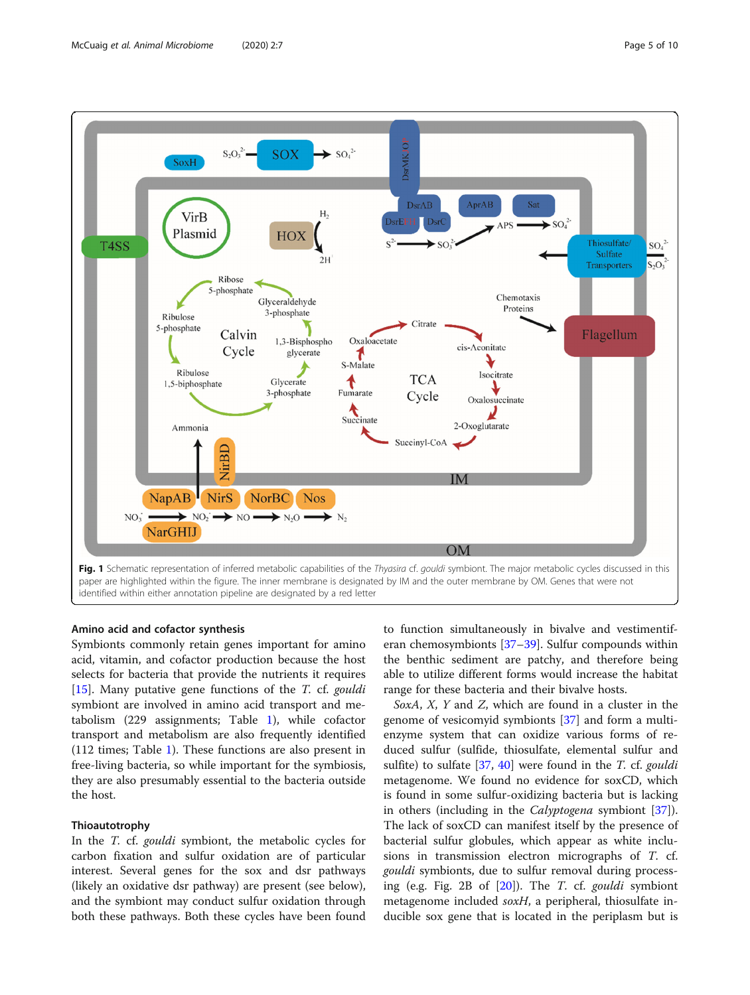<span id="page-4-0"></span>

# Amino acid and cofactor synthesis

Symbionts commonly retain genes important for amino acid, vitamin, and cofactor production because the host selects for bacteria that provide the nutrients it requires [[15\]](#page-8-0). Many putative gene functions of the  $T$ . cf. *gouldi* symbiont are involved in amino acid transport and metabolism (229 assignments; Table [1\)](#page-2-0), while cofactor transport and metabolism are also frequently identified (112 times; Table [1\)](#page-2-0). These functions are also present in free-living bacteria, so while important for the symbiosis, they are also presumably essential to the bacteria outside the host.

# Thioautotrophy

In the *T*. cf. *gouldi* symbiont, the metabolic cycles for carbon fixation and sulfur oxidation are of particular interest. Several genes for the sox and dsr pathways (likely an oxidative dsr pathway) are present (see below), and the symbiont may conduct sulfur oxidation through both these pathways. Both these cycles have been found to function simultaneously in bivalve and vestimentiferan chemosymbionts [[37](#page-8-0)–[39](#page-8-0)]. Sulfur compounds within the benthic sediment are patchy, and therefore being able to utilize different forms would increase the habitat range for these bacteria and their bivalve hosts.

SoxA, X, Y and Z, which are found in a cluster in the genome of vesicomyid symbionts [[37\]](#page-8-0) and form a multienzyme system that can oxidize various forms of reduced sulfur (sulfide, thiosulfate, elemental sulfur and sulfite) to sulfate  $[37, 40]$  $[37, 40]$  $[37, 40]$  $[37, 40]$  were found in the T. cf. gouldi metagenome. We found no evidence for soxCD, which is found in some sulfur-oxidizing bacteria but is lacking in others (including in the Calyptogena symbiont [\[37](#page-8-0)]). The lack of soxCD can manifest itself by the presence of bacterial sulfur globules, which appear as white inclusions in transmission electron micrographs of T. cf. gouldi symbionts, due to sulfur removal during processing (e.g. Fig. 2B of [[20\]](#page-8-0)). The T. cf. gouldi symbiont metagenome included soxH, a peripheral, thiosulfate inducible sox gene that is located in the periplasm but is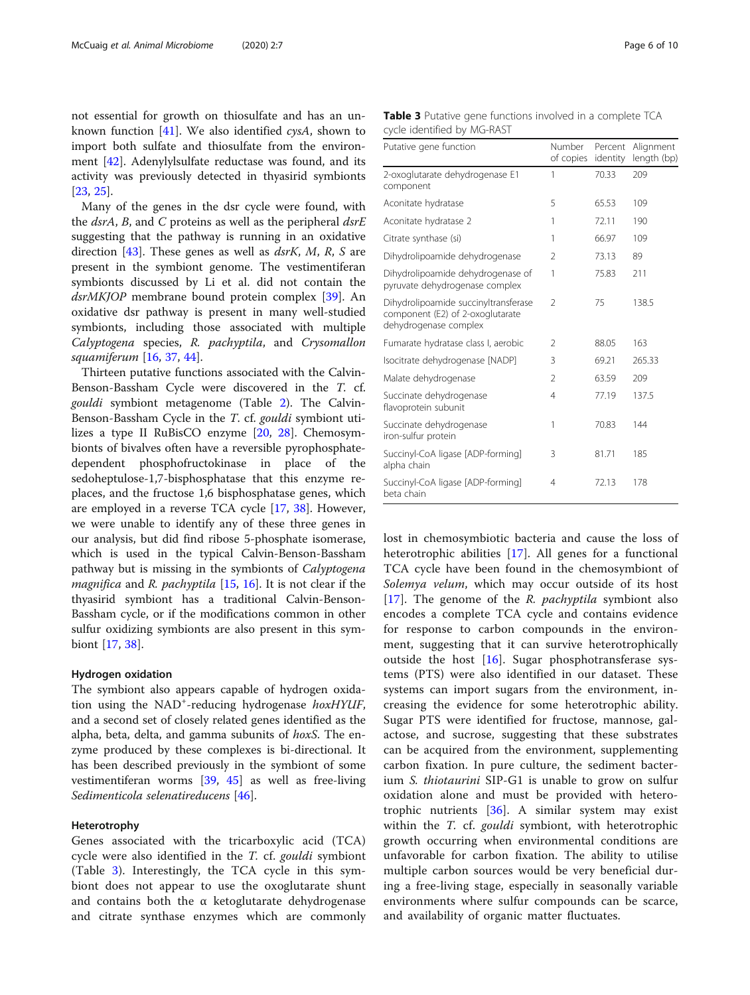not essential for growth on thiosulfate and has an un-known function [\[41](#page-8-0)]. We also identified  $\cos A$ , shown to import both sulfate and thiosulfate from the environment [[42\]](#page-8-0). Adenylylsulfate reductase was found, and its activity was previously detected in thyasirid symbionts [[23,](#page-8-0) [25\]](#page-8-0).

Many of the genes in the dsr cycle were found, with the  $dsrA$ , B, and C proteins as well as the peripheral  $dsrE$ suggesting that the pathway is running in an oxidative direction [\[43\]](#page-8-0). These genes as well as  $dsrK$ , M, R, S are present in the symbiont genome. The vestimentiferan symbionts discussed by Li et al. did not contain the dsrMKJOP membrane bound protein complex [[39\]](#page-8-0). An oxidative dsr pathway is present in many well-studied symbionts, including those associated with multiple Calyptogena species, R. pachyptila, and Crysomallon squamiferum [\[16](#page-8-0), [37,](#page-8-0) [44\]](#page-8-0).

Thirteen putative functions associated with the Calvin-Benson-Bassham Cycle were discovered in the T. cf. gouldi symbiont metagenome (Table [2](#page-3-0)). The Calvin-Benson-Bassham Cycle in the T. cf. gouldi symbiont utilizes a type II RuBisCO enzyme [\[20,](#page-8-0) [28\]](#page-8-0). Chemosymbionts of bivalves often have a reversible pyrophosphatedependent phosphofructokinase in place of the sedoheptulose-1,7-bisphosphatase that this enzyme replaces, and the fructose 1,6 bisphosphatase genes, which are employed in a reverse TCA cycle [[17,](#page-8-0) [38](#page-8-0)]. However, we were unable to identify any of these three genes in our analysis, but did find ribose 5-phosphate isomerase, which is used in the typical Calvin-Benson-Bassham pathway but is missing in the symbionts of Calyptogena *magnifica* and *R. pachyptila*  $[15, 16]$  $[15, 16]$  $[15, 16]$  $[15, 16]$ . It is not clear if the thyasirid symbiont has a traditional Calvin-Benson-Bassham cycle, or if the modifications common in other sulfur oxidizing symbionts are also present in this symbiont [\[17,](#page-8-0) [38\]](#page-8-0).

# Hydrogen oxidation

The symbiont also appears capable of hydrogen oxidation using the NAD<sup>+</sup>-reducing hydrogenase hoxHYUF, and a second set of closely related genes identified as the alpha, beta, delta, and gamma subunits of hoxS. The enzyme produced by these complexes is bi-directional. It has been described previously in the symbiont of some vestimentiferan worms [\[39,](#page-8-0) [45\]](#page-8-0) as well as free-living Sedimenticola selenatireducens [[46\]](#page-8-0).

# Heterotrophy

Genes associated with the tricarboxylic acid (TCA) cycle were also identified in the T. cf. gouldi symbiont (Table 3). Interestingly, the TCA cycle in this symbiont does not appear to use the oxoglutarate shunt and contains both the  $\alpha$  ketoglutarate dehydrogenase and citrate synthase enzymes which are commonly

Table 3 Putative gene functions involved in a complete TCA cycle identified by MG-RAST

| Putative gene function                                                                            | <b>Number</b><br>of copies | Percent<br>identity | Alignment<br>length (bp) |
|---------------------------------------------------------------------------------------------------|----------------------------|---------------------|--------------------------|
| 2-oxoglutarate dehydrogenase E1<br>component                                                      | 1                          | 70.33               | 209                      |
| Aconitate hydratase                                                                               | 5                          | 65.53               | 109                      |
| Aconitate hydratase 2                                                                             | 1                          | 72.11               | 190                      |
| Citrate synthase (si)                                                                             | 1                          | 66.97               | 109                      |
| Dihydrolipoamide dehydrogenase                                                                    | 2                          | 73.13               | 89                       |
| Dihydrolipoamide dehydrogenase of<br>pyruvate dehydrogenase complex                               | 1                          | 75.83               | 211                      |
| Dihydrolipoamide succinyltransferase<br>component (E2) of 2-oxoglutarate<br>dehydrogenase complex | $\mathfrak{D}$             | 75                  | 138.5                    |
| Fumarate hydratase class I, aerobic                                                               | 2                          | 88.05               | 163                      |
| Isocitrate dehydrogenase [NADP]                                                                   | 3                          | 69.21               | 265.33                   |
| Malate dehydrogenase                                                                              | 2                          | 63.59               | 209                      |
| Succinate dehydrogenase<br>flavoprotein subunit                                                   | 4                          | 77.19               | 137.5                    |
| Succinate dehydrogenase<br>iron-sulfur protein                                                    | 1                          | 70.83               | 144                      |
| Succinyl-CoA ligase [ADP-forming]<br>alpha chain                                                  | 3                          | 81.71               | 185                      |
| Succinyl-CoA ligase [ADP-forming]<br>beta chain                                                   | 4                          | 72.13               | 178                      |

lost in chemosymbiotic bacteria and cause the loss of heterotrophic abilities [[17\]](#page-8-0). All genes for a functional TCA cycle have been found in the chemosymbiont of Solemya velum, which may occur outside of its host [[17\]](#page-8-0). The genome of the R. pachyptila symbiont also encodes a complete TCA cycle and contains evidence for response to carbon compounds in the environment, suggesting that it can survive heterotrophically outside the host  $[16]$  $[16]$  $[16]$ . Sugar phosphotransferase systems (PTS) were also identified in our dataset. These systems can import sugars from the environment, increasing the evidence for some heterotrophic ability. Sugar PTS were identified for fructose, mannose, galactose, and sucrose, suggesting that these substrates can be acquired from the environment, supplementing carbon fixation. In pure culture, the sediment bacterium S. thiotaurini SIP-G1 is unable to grow on sulfur oxidation alone and must be provided with heterotrophic nutrients [\[36](#page-8-0)]. A similar system may exist within the *T*. cf. *gouldi* symbiont, with heterotrophic growth occurring when environmental conditions are unfavorable for carbon fixation. The ability to utilise multiple carbon sources would be very beneficial during a free-living stage, especially in seasonally variable environments where sulfur compounds can be scarce, and availability of organic matter fluctuates.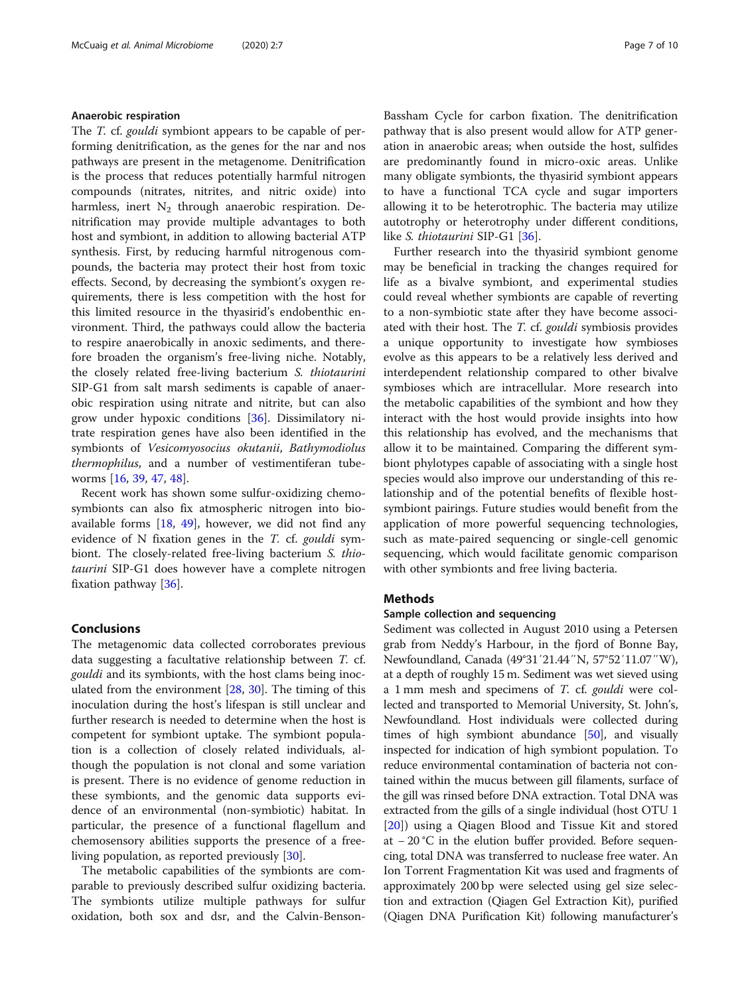# Anaerobic respiration

The T. cf. gouldi symbiont appears to be capable of performing denitrification, as the genes for the nar and nos pathways are present in the metagenome. Denitrification is the process that reduces potentially harmful nitrogen compounds (nitrates, nitrites, and nitric oxide) into harmless, inert  $N_2$  through anaerobic respiration. Denitrification may provide multiple advantages to both host and symbiont, in addition to allowing bacterial ATP synthesis. First, by reducing harmful nitrogenous compounds, the bacteria may protect their host from toxic effects. Second, by decreasing the symbiont's oxygen requirements, there is less competition with the host for this limited resource in the thyasirid's endobenthic environment. Third, the pathways could allow the bacteria to respire anaerobically in anoxic sediments, and therefore broaden the organism's free-living niche. Notably, the closely related free-living bacterium S. thiotaurini SIP-G1 from salt marsh sediments is capable of anaerobic respiration using nitrate and nitrite, but can also grow under hypoxic conditions [[36](#page-8-0)]. Dissimilatory nitrate respiration genes have also been identified in the symbionts of Vesicomyosocius okutanii, Bathymodiolus thermophilus, and a number of vestimentiferan tubeworms [\[16](#page-8-0), [39](#page-8-0), [47](#page-8-0), [48\]](#page-9-0).

Recent work has shown some sulfur-oxidizing chemosymbionts can also fix atmospheric nitrogen into bioavailable forms [\[18](#page-8-0), [49\]](#page-9-0), however, we did not find any evidence of N fixation genes in the  $T$ . cf. gouldi symbiont. The closely-related free-living bacterium S. thiotaurini SIP-G1 does however have a complete nitrogen fixation pathway [\[36](#page-8-0)].

# Conclusions

The metagenomic data collected corroborates previous data suggesting a facultative relationship between T. cf. gouldi and its symbionts, with the host clams being inoculated from the environment [\[28](#page-8-0), [30](#page-8-0)]. The timing of this inoculation during the host's lifespan is still unclear and further research is needed to determine when the host is competent for symbiont uptake. The symbiont population is a collection of closely related individuals, although the population is not clonal and some variation is present. There is no evidence of genome reduction in these symbionts, and the genomic data supports evidence of an environmental (non-symbiotic) habitat. In particular, the presence of a functional flagellum and chemosensory abilities supports the presence of a freeliving population, as reported previously [[30](#page-8-0)].

The metabolic capabilities of the symbionts are comparable to previously described sulfur oxidizing bacteria. The symbionts utilize multiple pathways for sulfur oxidation, both sox and dsr, and the Calvin-Benson-

Bassham Cycle for carbon fixation. The denitrification pathway that is also present would allow for ATP generation in anaerobic areas; when outside the host, sulfides are predominantly found in micro-oxic areas. Unlike many obligate symbionts, the thyasirid symbiont appears to have a functional TCA cycle and sugar importers allowing it to be heterotrophic. The bacteria may utilize autotrophy or heterotrophy under different conditions, like S. thiotaurini SIP-G1 [[36](#page-8-0)].

Further research into the thyasirid symbiont genome may be beneficial in tracking the changes required for life as a bivalve symbiont, and experimental studies could reveal whether symbionts are capable of reverting to a non-symbiotic state after they have become associated with their host. The T. cf. gouldi symbiosis provides a unique opportunity to investigate how symbioses evolve as this appears to be a relatively less derived and interdependent relationship compared to other bivalve symbioses which are intracellular. More research into the metabolic capabilities of the symbiont and how they interact with the host would provide insights into how this relationship has evolved, and the mechanisms that allow it to be maintained. Comparing the different symbiont phylotypes capable of associating with a single host species would also improve our understanding of this relationship and of the potential benefits of flexible hostsymbiont pairings. Future studies would benefit from the application of more powerful sequencing technologies, such as mate-paired sequencing or single-cell genomic sequencing, which would facilitate genomic comparison with other symbionts and free living bacteria.

# Methods

# Sample collection and sequencing

Sediment was collected in August 2010 using a Petersen grab from Neddy's Harbour, in the fjord of Bonne Bay, Newfoundland, Canada (49°31′21.44″N, 57°52′11.07″W), at a depth of roughly 15 m. Sediment was wet sieved using a 1 mm mesh and specimens of T. cf. gouldi were collected and transported to Memorial University, St. John's, Newfoundland. Host individuals were collected during times of high symbiont abundance [[50\]](#page-9-0), and visually inspected for indication of high symbiont population. To reduce environmental contamination of bacteria not contained within the mucus between gill filaments, surface of the gill was rinsed before DNA extraction. Total DNA was extracted from the gills of a single individual (host OTU 1 [[20\]](#page-8-0)) using a Qiagen Blood and Tissue Kit and stored at − 20 °C in the elution buffer provided. Before sequencing, total DNA was transferred to nuclease free water. An Ion Torrent Fragmentation Kit was used and fragments of approximately 200 bp were selected using gel size selection and extraction (Qiagen Gel Extraction Kit), purified (Qiagen DNA Purification Kit) following manufacturer's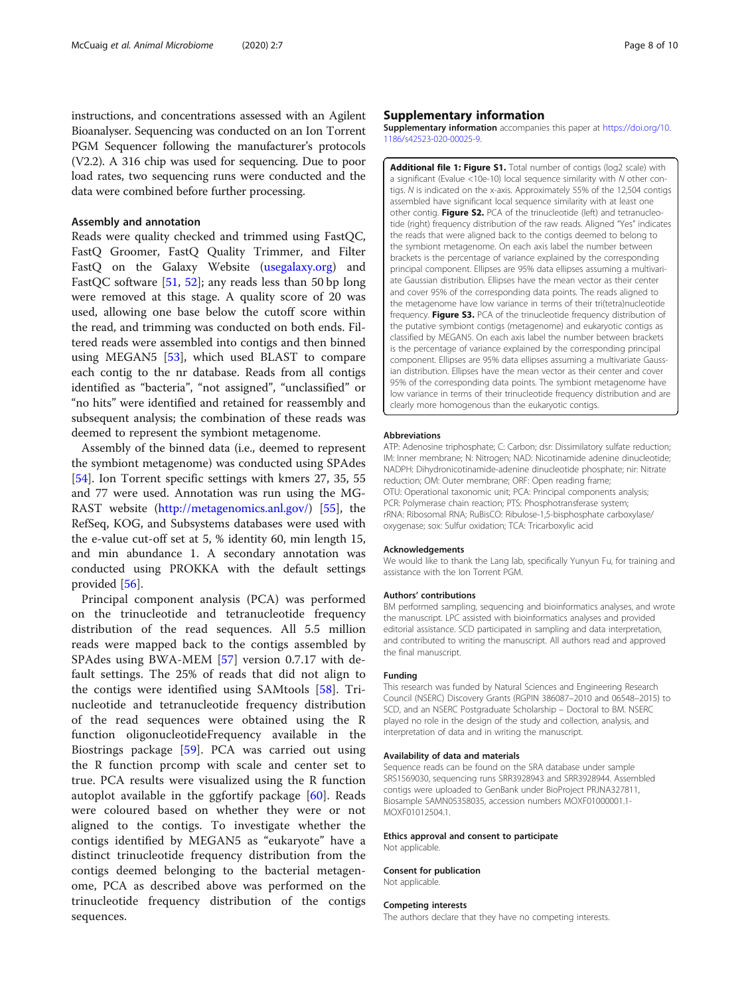<span id="page-7-0"></span>instructions, and concentrations assessed with an Agilent Bioanalyser. Sequencing was conducted on an Ion Torrent PGM Sequencer following the manufacturer's protocols (V2.2). A 316 chip was used for sequencing. Due to poor load rates, two sequencing runs were conducted and the data were combined before further processing.

# Assembly and annotation

Reads were quality checked and trimmed using FastQC, FastQ Groomer, FastQ Quality Trimmer, and Filter FastQ on the Galaxy Website ([usegalaxy.org](http://usegalaxy.org)) and FastQC software  $[51, 52]$  $[51, 52]$  $[51, 52]$  $[51, 52]$ ; any reads less than 50 bp long were removed at this stage. A quality score of 20 was used, allowing one base below the cutoff score within the read, and trimming was conducted on both ends. Filtered reads were assembled into contigs and then binned using MEGAN5 [\[53\]](#page-9-0), which used BLAST to compare each contig to the nr database. Reads from all contigs identified as "bacteria", "not assigned", "unclassified" or "no hits" were identified and retained for reassembly and subsequent analysis; the combination of these reads was deemed to represent the symbiont metagenome.

Assembly of the binned data (i.e., deemed to represent the symbiont metagenome) was conducted using SPAdes [[54\]](#page-9-0). Ion Torrent specific settings with kmers 27, 35, 55 and 77 were used. Annotation was run using the MG-RAST website (<http://metagenomics.anl.gov/>) [[55\]](#page-9-0), the RefSeq, KOG, and Subsystems databases were used with the e-value cut-off set at 5, % identity 60, min length 15, and min abundance 1. A secondary annotation was conducted using PROKKA with the default settings provided [[56\]](#page-9-0).

Principal component analysis (PCA) was performed on the trinucleotide and tetranucleotide frequency distribution of the read sequences. All 5.5 million reads were mapped back to the contigs assembled by SPAdes using BWA-MEM [[57\]](#page-9-0) version 0.7.17 with default settings. The 25% of reads that did not align to the contigs were identified using SAMtools [[58\]](#page-9-0). Trinucleotide and tetranucleotide frequency distribution of the read sequences were obtained using the R function oligonucleotideFrequency available in the Biostrings package [\[59](#page-9-0)]. PCA was carried out using the R function prcomp with scale and center set to true. PCA results were visualized using the R function autoplot available in the ggfortify package [\[60](#page-9-0)]. Reads were coloured based on whether they were or not aligned to the contigs. To investigate whether the contigs identified by MEGAN5 as "eukaryote" have a distinct trinucleotide frequency distribution from the contigs deemed belonging to the bacterial metagenome, PCA as described above was performed on the trinucleotide frequency distribution of the contigs sequences.

# Supplementary information

Supplementary information accompanies this paper at [https://doi.org/10.](https://doi.org/10.1186/s42523-020-00025-9) [1186/s42523-020-00025-9](https://doi.org/10.1186/s42523-020-00025-9).

Additional file 1: Figure S1. Total number of contigs (log2 scale) with a significant (Evalue <10e-10) local sequence similarity with N other contigs. N is indicated on the x-axis. Approximately 55% of the 12,504 contigs assembled have significant local sequence similarity with at least one other contig. Figure S2. PCA of the trinucleotide (left) and tetranucleotide (right) frequency distribution of the raw reads. Aligned "Yes" indicates the reads that were aligned back to the contigs deemed to belong to the symbiont metagenome. On each axis label the number between brackets is the percentage of variance explained by the corresponding principal component. Ellipses are 95% data ellipses assuming a multivariate Gaussian distribution. Ellipses have the mean vector as their center and cover 95% of the corresponding data points. The reads aligned to the metagenome have low variance in terms of their tri(tetra)nucleotide frequency. Figure S3. PCA of the trinucleotide frequency distribution of the putative symbiont contigs (metagenome) and eukaryotic contigs as classified by MEGAN5. On each axis label the number between brackets is the percentage of variance explained by the corresponding principal component. Ellipses are 95% data ellipses assuming a multivariate Gaussian distribution. Ellipses have the mean vector as their center and cover 95% of the corresponding data points. The symbiont metagenome have low variance in terms of their trinucleotide frequency distribution and are clearly more homogenous than the eukaryotic contigs.

#### Abbreviations

ATP: Adenosine triphosphate; C: Carbon; dsr: Dissimilatory sulfate reduction; IM: Inner membrane; N: Nitrogen; NAD: Nicotinamide adenine dinucleotide; NADPH: Dihydronicotinamide-adenine dinucleotide phosphate; nir: Nitrate reduction; OM: Outer membrane; ORF: Open reading frame; OTU: Operational taxonomic unit; PCA: Principal components analysis; PCR: Polymerase chain reaction; PTS: Phosphotransferase system; rRNA: Ribosomal RNA; RuBisCO: Ribulose-1,5-bisphosphate carboxylase/ oxygenase; sox: Sulfur oxidation; TCA: Tricarboxylic acid

#### Acknowledgements

We would like to thank the Lang lab, specifically Yunyun Fu, for training and assistance with the Ion Torrent PGM.

#### Authors' contributions

BM performed sampling, sequencing and bioinformatics analyses, and wrote the manuscript. LPC assisted with bioinformatics analyses and provided editorial assistance. SCD participated in sampling and data interpretation, and contributed to writing the manuscript. All authors read and approved the final manuscript.

#### Funding

This research was funded by Natural Sciences and Engineering Research Council (NSERC) Discovery Grants (RGPIN 386087–2010 and 06548–2015) to SCD, and an NSERC Postgraduate Scholarship – Doctoral to BM. NSERC played no role in the design of the study and collection, analysis, and interpretation of data and in writing the manuscript.

#### Availability of data and materials

Sequence reads can be found on the SRA database under sample SRS1569030, sequencing runs SRR3928943 and SRR3928944. Assembled contigs were uploaded to GenBank under BioProject PRJNA327811, Biosample SAMN05358035, accession numbers MOXF01000001.1- MOXF01012504.1.

#### Ethics approval and consent to participate

Not applicable.

#### Consent for publication Not applicable.

#### Competing interests

The authors declare that they have no competing interests.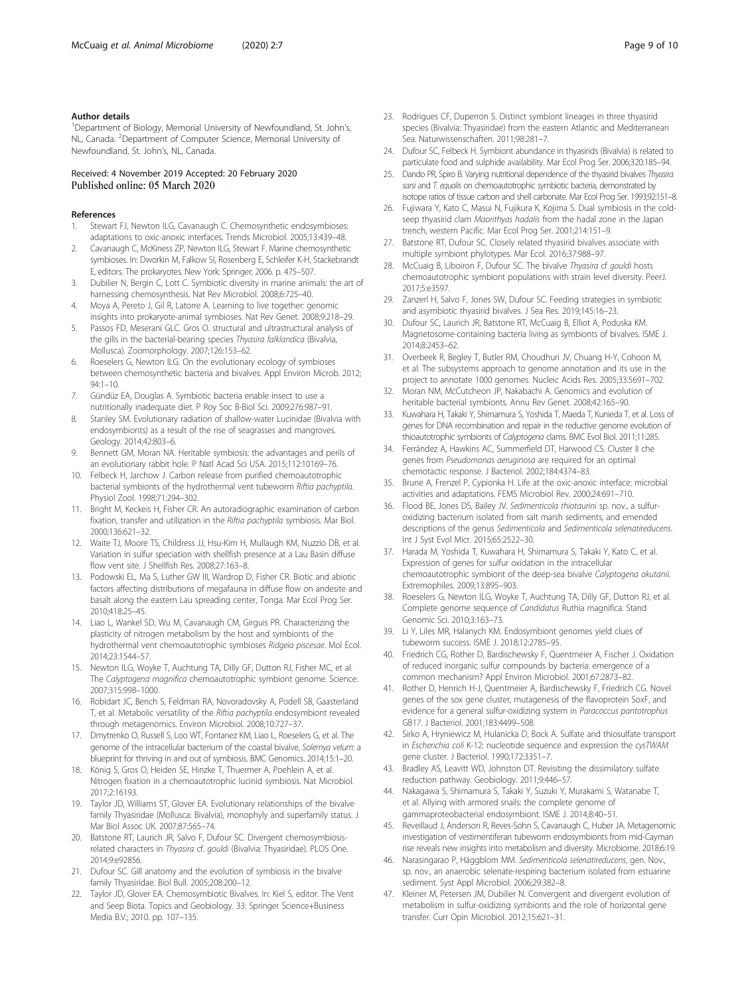## <span id="page-8-0"></span>Author details

<sup>1</sup>Department of Biology, Memorial University of Newfoundland, St. John's, NL, Canada. <sup>2</sup>Department of Computer Science, Memorial University of Newfoundland, St. John's, NL, Canada.

# Received: 4 November 2019 Accepted: 20 February 2020 Published online: 05 March 2020

#### References

- 1. Stewart FJ, Newton ILG, Cavanaugh C. Chemosynthetic endosymbioses: adaptations to oxic-anoxic interfaces. Trends Microbiol. 2005;13:439–48.
- 2. Cavanaugh C, McKiness ZP, Newton ILG, Stewart F. Marine chemosynthetic symbioses. In: Dworkin M, Falkow SI, Rosenberg E, Schleifer K-H, Stackebrandt E, editors. The prokaryotes. New York: Springer; 2006. p. 475–507.
- 3. Dubilier N, Bergin C, Lott C. Symbiotic diversity in marine animals: the art of harnessing chemosynthesis. Nat Rev Microbiol. 2008;6:725–40.
- 4. Moya A, Pereto J, Gil R, Latorre A. Learning to live together: genomic insights into prokaryote-animal symbioses. Nat Rev Genet. 2008;9:218–29.
- 5. Passos FD, Meserani GLC. Gros O. structural and ultrastructural analysis of the gills in the bacterial-bearing species Thyasira falklandica (Bivalvia, Mollusca). Zoomorphology. 2007;126:153–62.
- 6. Roeselers G, Newton ILG. On the evolutionary ecology of symbioses between chemosynthetic bacteria and bivalves. Appl Environ Microb. 2012; 94:1–10.
- 7. Gündüz EA, Douglas A. Symbiotic bacteria enable insect to use a nutritionally inadequate diet. P Roy Soc B-Biol Sci. 2009;276:987–91.
- 8. Stanley SM. Evolutionary radiation of shallow-water Lucinidae (Bivalvia with endosymbionts) as a result of the rise of seagrasses and mangroves. Geology. 2014;42:803–6.
- 9. Bennett GM, Moran NA. Heritable symbiosis: the advantages and perils of an evolutionary rabbit hole. P Natl Acad Sci USA. 2015;112:10169–76.
- 10. Felbeck H, Jarchow J. Carbon release from purified chemoautotrophic bacterial symbionts of the hydrothermal vent tubeworm Riftia pachyptila. Physiol Zool. 1998;71:294–302.
- 11. Bright M, Keckeis H, Fisher CR. An autoradiographic examination of carbon fixation, transfer and utilization in the Riftia pachyptila symbiosis. Mar Biol. 2000;136:621–32.
- 12. Waite TJ, Moore TS, Childress JJ, Hsu-Kim H, Mullaugh KM, Nuzzio DB, et al. Variation in sulfur speciation with shellfish presence at a Lau Basin diffuse flow vent site. J Shellfish Res. 2008;27:163–8.
- 13. Podowski EL, Ma S, Luther GW III, Wardrop D, Fisher CR. Biotic and abiotic factors affecting distributions of megafauna in diffuse flow on andesite and basalt along the eastern Lau spreading center, Tonga. Mar Ecol Prog Ser. 2010;418:25–45.
- 14. Liao L, Wankel SD, Wu M, Cavanaugh CM, Girguis PR. Characterizing the plasticity of nitrogen metabolism by the host and symbionts of the hydrothermal vent chemoautotrophic symbioses Ridgeia piscesae. Mol Ecol. 2014;23:1544–57.
- 15. Newton ILG, Woyke T, Auchtung TA, Dilly GF, Dutton RJ, Fisher MC, et al. The Calyptogena magnifica chemoautotrophic symbiont genome. Science. 2007;315:998–1000.
- 16. Robidart JC, Bench S, Feldman RA, Novoradovsky A, Podell SB, Gaasterland T, et al. Metabolic versatility of the Riftia pachyptila endosymbiont revealed through metagenomics. Environ Microbiol. 2008;10:727–37.
- 17. Dmytrenko O, Russell S, Loo WT, Fontanez KM, Liao L, Roeselers G, et al. The genome of the intracellular bacterium of the coastal bivalve, Solemya velum: a blueprint for thriving in and out of symbiosis. BMC Genomics. 2014;15:1–20.
- 18. König S, Gros O, Heiden SE, Hinzke T, Thuermer A, Poehlein A, et al. Nitrogen fixation in a chemoautotrophic lucinid symbiosis. Nat Microbiol. 2017;2:16193.
- 19. Taylor JD, Williams ST, Glover EA. Evolutionary relationships of the bivalve family Thyasiridae (Mollusca: Bivalvia), monophyly and superfamily status. J Mar Biol Assoc UK. 2007;87:565–74.
- 20. Batstone RT, Laurich JR, Salvo F, Dufour SC. Divergent chemosymbiosisrelated characters in Thyasira cf. gouldi (Bivalvia: Thyasiridae). PLOS One. 2014;9:e92856.
- 21. Dufour SC. Gill anatomy and the evolution of symbiosis in the bivalve family Thyasiridae. Biol Bull. 2005;208:200–12.
- 22. Taylor JD, Glover EA. Chemosymbiotic Bivalves. In: Kiel S, editor. The Vent and Seep Biota. Topics and Geobiology. 33: Springer Science+Business Media B.V.; 2010. pp. 107–135.
- 23. Rodrigues CF, Duperron S. Distinct symbiont lineages in three thyasirid species (Bivalvia: Thyasiridae) from the eastern Atlantic and Mediterranean Sea. Naturwissenschaften. 2011;98:281–7.
- 24. Dufour SC, Felbeck H. Symbiont abundance in thyasirids (Bivalvia) is related to particulate food and sulphide availability. Mar Ecol Prog Ser. 2006;320:185–94.
- 25. Dando PR, Spiro B. Varying nutritional dependence of the thyasirid bivalves Thyasira sarsi and T. equalis on chemoautotrophic symbiotic bacteria, demonstrated by isotope ratios of tissue carbon and shell carbonate. Mar Ecol Prog Ser. 1993;92:151–8.
- 26. Fujiwara Y, Kato C, Masui N, Fujikura K, Kojima S. Dual symbiosis in the coldseep thyasirid clam Maorithyas hadalis from the hadal zone in the Japan trench, western Pacific. Mar Ecol Prog Ser. 2001;214:151–9.
- 27. Batstone RT, Dufour SC. Closely related thyasirid bivalves associate with multiple symbiont phylotypes. Mar Ecol. 2016;37:988–97.
- 28. McCuaig B, Liboiron F, Dufour SC. The bivalve Thyasira cf gouldi hosts chemoautotrophic symbiont populations with strain level diversity. PeerJ. 2017;5:e3597.
- 29. Zanzerl H, Salvo F, Jones SW, Dufour SC. Feeding strategies in symbiotic and asymbiotic thyasirid bivalves. J Sea Res. 2019;145:16–23.
- 30. Dufour SC, Laurich JR, Batstone RT, McCuaig B, Elliot A, Poduska KM. Magnetosome-containing bacteria living as symbionts of bivalves. ISME J. 2014;8:2453–62.
- 31. Overbeek R, Begley T, Butler RM, Choudhuri JV, Chuang H-Y, Cohoon M, et al. The subsystems approach to genome annotation and its use in the project to annotate 1000 genomes. Nucleic Acids Res. 2005;33:5691–702.
- Moran NM, McCutcheon JP, Nakabachi A. Genomics and evolution of heritable bacterial symbionts. Annu Rev Genet. 2008;42:165–90.
- 33. Kuwahara H, Takaki Y, Shimamura S, Yoshida T, Maeda T, Kunieda T, et al. Loss of genes for DNA recombination and repair in the reductive genome evolution of thioautotrophic symbionts of Calyptogena clams. BMC Evol Biol. 2011;11:285.
- 34. Ferrández A, Hawkins AC, Summerfield DT, Harwood CS. Cluster II che genes from Pseudomonas aeruginosa are required for an optimal chemotactic response. J Bacteriol. 2002;184:4374–83.
- Brune A, Frenzel P, Cypionka H. Life at the oxic-anoxic interface: microbial activities and adaptations. FEMS Microbiol Rev. 2000;24:691–710.
- 36. Flood BE, Jones DS, Bailey JV. Sedimenticola thiotaurini sp. nov., a sulfuroxidizing bacterium isolated from salt marsh sediments, and emended descriptions of the genus Sedimenticola and Sedimenticola selenatireducens. Int J Syst Evol Micr. 2015;65:2522–30.
- 37. Harada M, Yoshida T, Kuwahara H, Shimamura S, Takaki Y, Kato C, et al. Expression of genes for sulfur oxidation in the intracellular chemoautotrophic symbiont of the deep-sea bivalve Calyptogena okutanii. Extremophiles. 2009;13:895–903.
- Roeselers G, Newton ILG, Woyke T, Auchtung TA, Dilly GF, Dutton RJ, et al. Complete genome sequence of Candidatus Ruthia magnifica. Stand Genomic Sci. 2010;3:163–73.
- 39. Li Y, Liles MR, Halanych KM. Endosymbiont genomes yield clues of tubeworm success. ISME J. 2018;12:2785–95.
- 40. Friedrich CG, Rother D, Bardischewsky F, Quentmeier A, Fischer J. Oxidation of reduced inorganic sulfur compounds by bacteria: emergence of a common mechanism? Appl Environ Microbiol. 2001;67:2873–82.
- 41. Rother D, Henrich H-J, Quentmeier A, Bardischewsky F, Friedrich CG. Novel genes of the sox gene cluster, mutagenesis of the flavoprotein SoxF, and evidence for a general sulfur-oxidizing system in Paracoccus pantotrophus GB17. J Bacteriol. 2001;183:4499–508.
- 42. Sirko A, Hryniewicz M, Hulanicka D, Bock A. Sulfate and thiosulfate transport in Escherichia coli K-12: nucleotide sequence and expression the cysTWAM gene cluster. J Bacteriol. 1990;172:3351–7.
- 43. Bradley AS, Leavitt WD, Johnston DT. Revisiting the dissimilatory sulfate reduction pathway. Geobiology. 2011;9:446–57.
- 44. Nakagawa S, Shimamura S, Takaki Y, Suzuki Y, Murakami S, Watanabe T, et al. Allying with armored snails: the complete genome of gammaproteobacterial endosymbiont. ISME J. 2014;8:40–51.
- 45. Reveillaud J, Anderson R, Reves-Sohn S, Cavanaugh C, Huber JA. Metagenomic investigation of vestimentiferan tubeworm endosymbionts from mid-Cayman rise reveals new insights into metabolism and diversity. Microbiome. 2018;6:19.
- 46. Narasingarao P, Häggblom MM. Sedimenticola selenatireducens, gen. Nov., sp. nov., an anaerobic selenate-respiring bacterium isolated from estuarine sediment. Syst Appl Microbiol. 2006;29:382–8.
- 47. Kleiner M, Petersen JM, Dubilier N. Convergent and divergent evolution of metabolism in sulfur-oxidizing symbionts and the role of horizontal gene transfer. Curr Opin Microbiol. 2012;15:621–31.